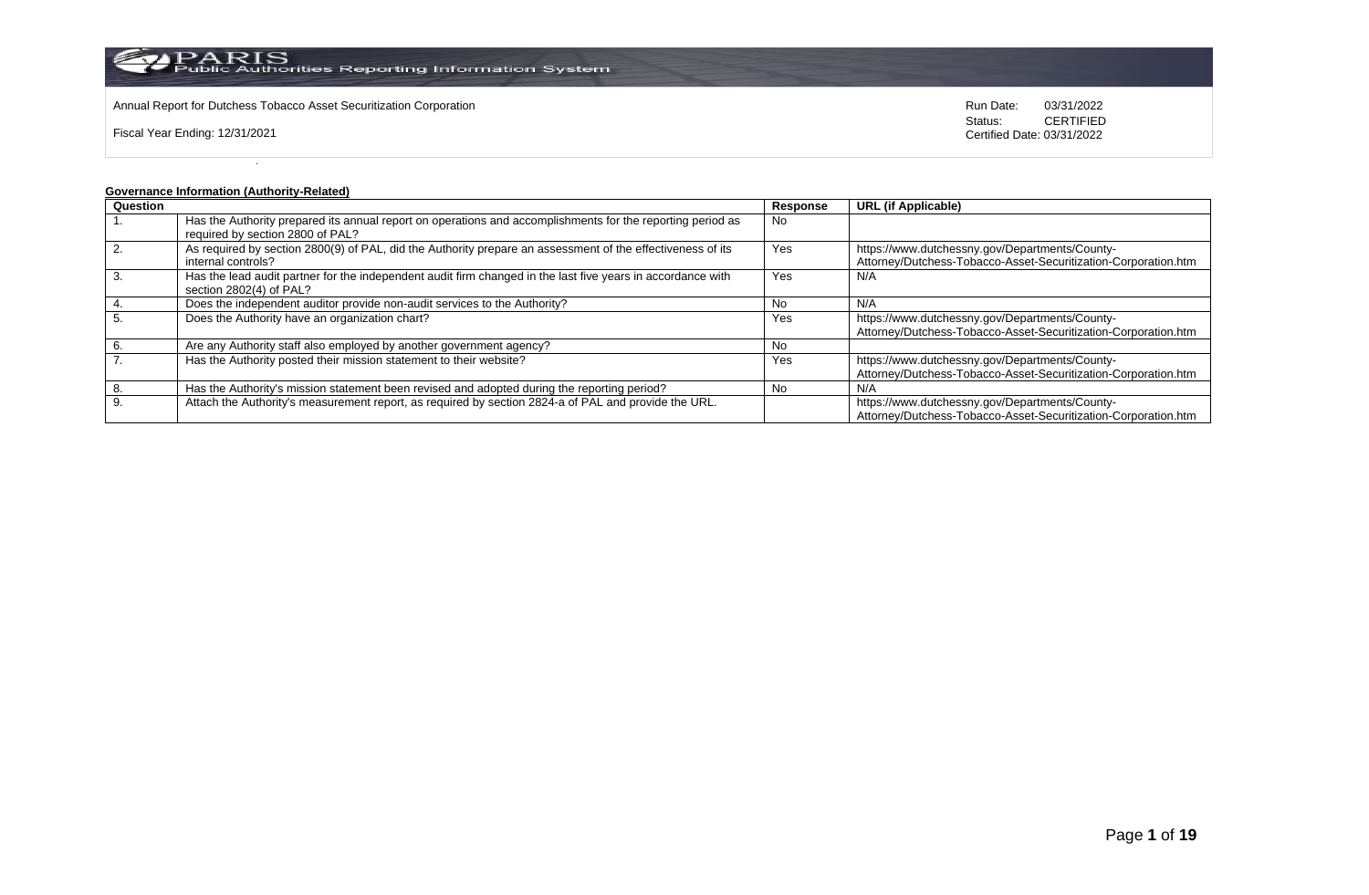

Annual Report for Dutchess Tobacco Asset Securitization Corporation **Component Component Component Component Component Component Component Component Component Component Component Component Component Component Component Com** 

Fiscal Year Ending: 12/31/2021

Status: **CERTIFIED** Certified Date: 03/31/2022

## **Governance Information (Authority-Related)**

| Question |                                                                                                                                                | Response   | <b>URL (if Applicable)</b>                                                                                       |
|----------|------------------------------------------------------------------------------------------------------------------------------------------------|------------|------------------------------------------------------------------------------------------------------------------|
|          | Has the Authority prepared its annual report on operations and accomplishments for the reporting period as<br>required by section 2800 of PAL? | No         |                                                                                                                  |
|          | As required by section 2800(9) of PAL, did the Authority prepare an assessment of the effectiveness of its<br>internal controls?               | <b>Yes</b> | https://www.dutchessny.gov/Departments/County-<br>Attorney/Dutchess-Tobacco-Asset-Securitization-Corporation.htm |
|          | Has the lead audit partner for the independent audit firm changed in the last five years in accordance with<br>section 2802(4) of PAL?         | Yes        | N/A                                                                                                              |
|          | Does the independent auditor provide non-audit services to the Authority?                                                                      | No         | N/A                                                                                                              |
|          | Does the Authority have an organization chart?                                                                                                 | <b>Yes</b> | https://www.dutchessny.gov/Departments/County-<br>Attorney/Dutchess-Tobacco-Asset-Securitization-Corporation.htm |
|          | Are any Authority staff also employed by another government agency?                                                                            | No         |                                                                                                                  |
|          | Has the Authority posted their mission statement to their website?                                                                             | Yes        | https://www.dutchessny.gov/Departments/County-<br>Attorney/Dutchess-Tobacco-Asset-Securitization-Corporation.htm |
|          | Has the Authority's mission statement been revised and adopted during the reporting period?                                                    | No         | N/A                                                                                                              |
|          | Attach the Authority's measurement report, as required by section 2824-a of PAL and provide the URL.                                           |            | https://www.dutchessny.gov/Departments/County-<br>Attorney/Dutchess-Tobacco-Asset-Securitization-Corporation.htm |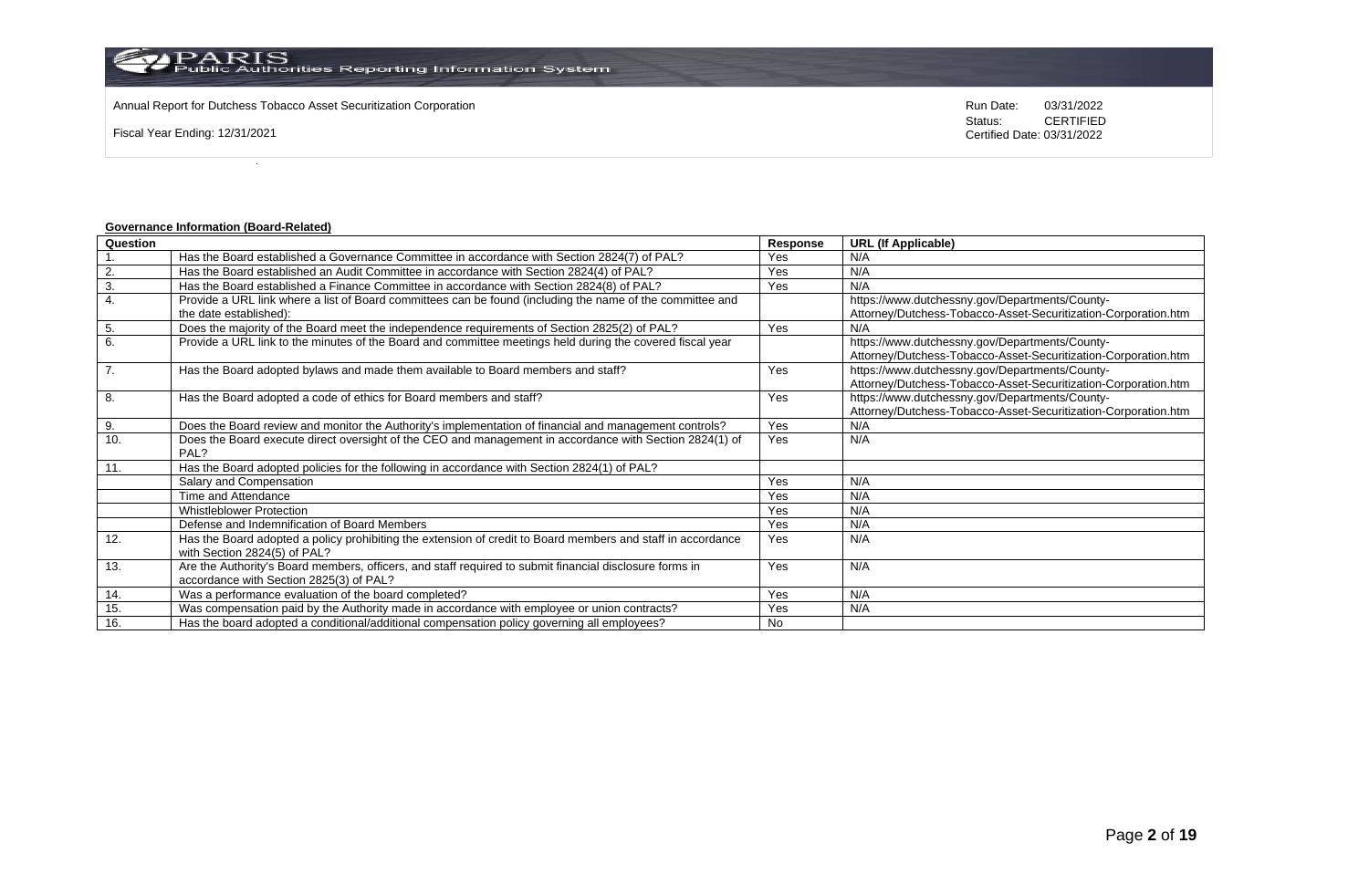Annual Report for Dutchess Tobacco Asset Securitization Corporation **Component Component Component Component Component Component Component Component Component Component Component Component Component Component Component Com** 

Fiscal Year Ending: 12/31/2021

Status: **CERTIFIED** Certified Date: 03/31/2022

## **Governance Information (Board-Related)**

| Question |                                                                                                             | Response | <b>URL (If Applicable)</b>                                     |
|----------|-------------------------------------------------------------------------------------------------------------|----------|----------------------------------------------------------------|
|          | Has the Board established a Governance Committee in accordance with Section 2824(7) of PAL?                 | Yes      | N/A                                                            |
| 2.       | Has the Board established an Audit Committee in accordance with Section 2824(4) of PAL?                     | Yes      | N/A                                                            |
| 3.       | Has the Board established a Finance Committee in accordance with Section 2824(8) of PAL?                    | Yes      | N/A                                                            |
| 4.       | Provide a URL link where a list of Board committees can be found (including the name of the committee and   |          | https://www.dutchessny.gov/Departments/County-                 |
|          | the date established):                                                                                      |          | Attorney/Dutchess-Tobacco-Asset-Securitization-Corporation.htm |
| 5.       | Does the majority of the Board meet the independence requirements of Section 2825(2) of PAL?                | Yes      | N/A                                                            |
| 6.       | Provide a URL link to the minutes of the Board and committee meetings held during the covered fiscal year   |          | https://www.dutchessny.gov/Departments/County-                 |
|          |                                                                                                             |          | Attorney/Dutchess-Tobacco-Asset-Securitization-Corporation.htm |
| 7.       | Has the Board adopted bylaws and made them available to Board members and staff?                            | Yes      | https://www.dutchessny.gov/Departments/County-                 |
|          |                                                                                                             |          | Attorney/Dutchess-Tobacco-Asset-Securitization-Corporation.htm |
| 8.       | Has the Board adopted a code of ethics for Board members and staff?                                         | Yes      | https://www.dutchessny.gov/Departments/County-                 |
|          |                                                                                                             |          | Attorney/Dutchess-Tobacco-Asset-Securitization-Corporation.htm |
| 9.       | Does the Board review and monitor the Authority's implementation of financial and management controls?      | Yes      | N/A                                                            |
| 10.      | Does the Board execute direct oversight of the CEO and management in accordance with Section 2824(1) of     | Yes      | N/A                                                            |
|          | PAL?                                                                                                        |          |                                                                |
| 11.      | Has the Board adopted policies for the following in accordance with Section 2824(1) of PAL?                 |          |                                                                |
|          | Salary and Compensation                                                                                     | Yes      | N/A                                                            |
|          | Time and Attendance                                                                                         | Yes      | N/A                                                            |
|          | <b>Whistleblower Protection</b>                                                                             | Yes      | N/A                                                            |
|          | Defense and Indemnification of Board Members                                                                | Yes      | N/A                                                            |
| 12.      | Has the Board adopted a policy prohibiting the extension of credit to Board members and staff in accordance | Yes      | N/A                                                            |
|          | with Section 2824(5) of PAL?                                                                                |          |                                                                |
| 13.      | Are the Authority's Board members, officers, and staff required to submit financial disclosure forms in     | Yes      | N/A                                                            |
|          | accordance with Section 2825(3) of PAL?                                                                     |          |                                                                |
| 14.      | Was a performance evaluation of the board completed?                                                        | Yes      | N/A                                                            |
| 15.      | Was compensation paid by the Authority made in accordance with employee or union contracts?                 | Yes      | N/A                                                            |
| 16.      | Has the board adopted a conditional/additional compensation policy governing all employees?                 | No       |                                                                |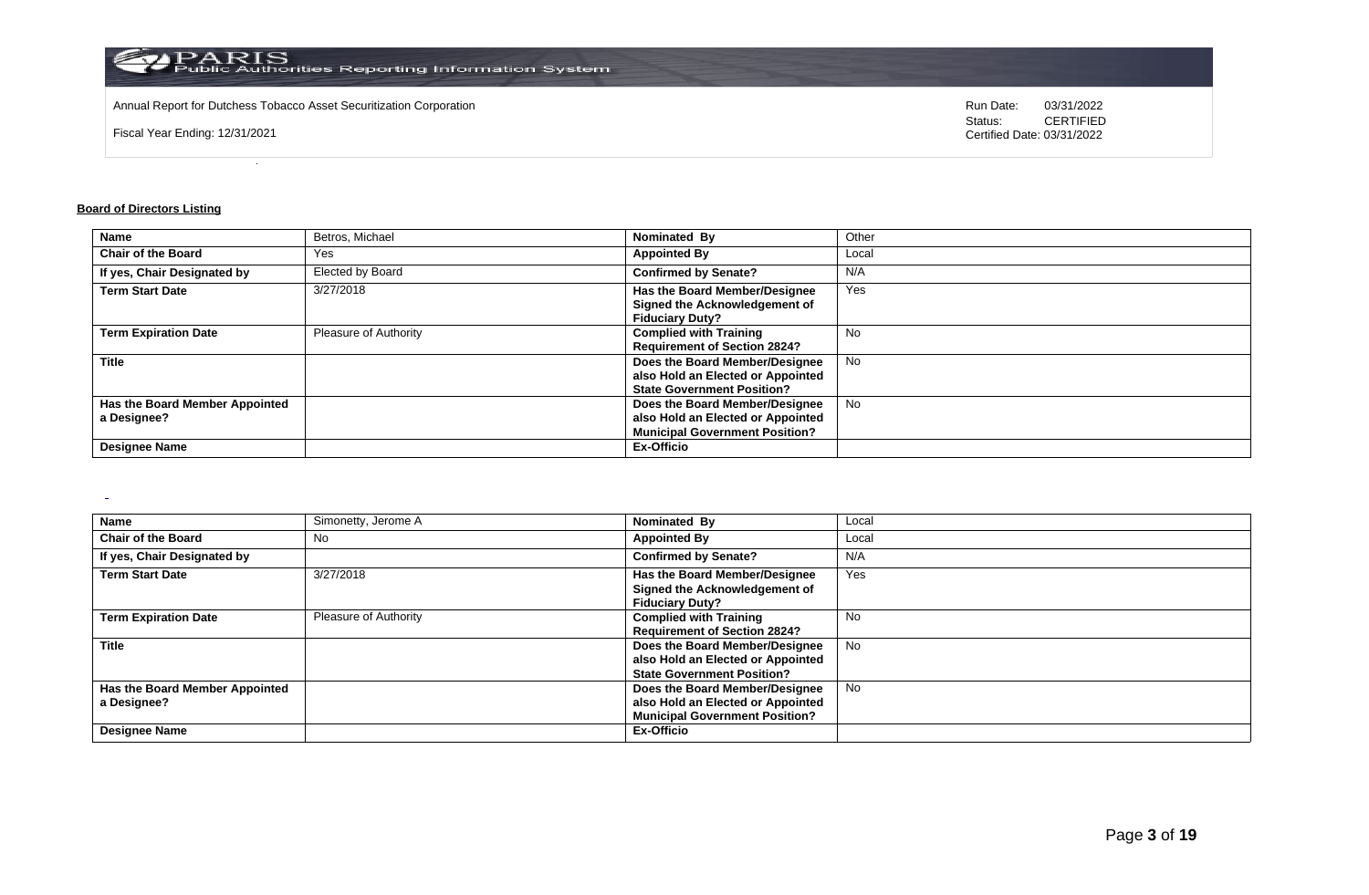

Annual Report for Dutchess Tobacco Asset Securitization Corporation **Components** Components Components Components Components Components Components Components Components Components Components Components Components Component

Fiscal Year Ending: 12/31/2021

Status: **CERTIFIED** Certified Date: 03/31/2022

## **Board of Directors Listing**

 $\sim$ 

| Name                                          | Betros, Michael       | Nominated By                                                                                                 | Other     |
|-----------------------------------------------|-----------------------|--------------------------------------------------------------------------------------------------------------|-----------|
| <b>Chair of the Board</b>                     | Yes                   | <b>Appointed By</b>                                                                                          | Local     |
| If yes, Chair Designated by                   | Elected by Board      | <b>Confirmed by Senate?</b>                                                                                  | N/A       |
| <b>Term Start Date</b>                        | 3/27/2018             | Has the Board Member/Designee<br>Signed the Acknowledgement of<br><b>Fiduciary Duty?</b>                     | Yes       |
| <b>Term Expiration Date</b>                   | Pleasure of Authority | <b>Complied with Training</b><br><b>Requirement of Section 2824?</b>                                         | No.       |
| <b>Title</b>                                  |                       | Does the Board Member/Designee<br>also Hold an Elected or Appointed<br><b>State Government Position?</b>     | <b>No</b> |
| Has the Board Member Appointed<br>a Designee? |                       | Does the Board Member/Designee<br>also Hold an Elected or Appointed<br><b>Municipal Government Position?</b> | <b>No</b> |
| <b>Designee Name</b>                          |                       | <b>Ex-Officio</b>                                                                                            |           |

| Name                           | Simonetty, Jerome A   |                                       |           |
|--------------------------------|-----------------------|---------------------------------------|-----------|
|                                |                       | Nominated By                          | Local     |
| <b>Chair of the Board</b>      | No.                   | <b>Appointed By</b>                   | Local     |
| If yes, Chair Designated by    |                       | <b>Confirmed by Senate?</b>           | N/A       |
| <b>Term Start Date</b>         | 3/27/2018             | Has the Board Member/Designee         | Yes       |
|                                |                       | Signed the Acknowledgement of         |           |
|                                |                       | <b>Fiduciary Duty?</b>                |           |
| <b>Term Expiration Date</b>    | Pleasure of Authority | <b>Complied with Training</b>         | <b>No</b> |
|                                |                       | <b>Requirement of Section 2824?</b>   |           |
| <b>Title</b>                   |                       | Does the Board Member/Designee        | <b>No</b> |
|                                |                       | also Hold an Elected or Appointed     |           |
|                                |                       | <b>State Government Position?</b>     |           |
| Has the Board Member Appointed |                       | Does the Board Member/Designee        | No        |
| a Designee?                    |                       | also Hold an Elected or Appointed     |           |
|                                |                       | <b>Municipal Government Position?</b> |           |
| <b>Designee Name</b>           |                       | Ex-Officio                            |           |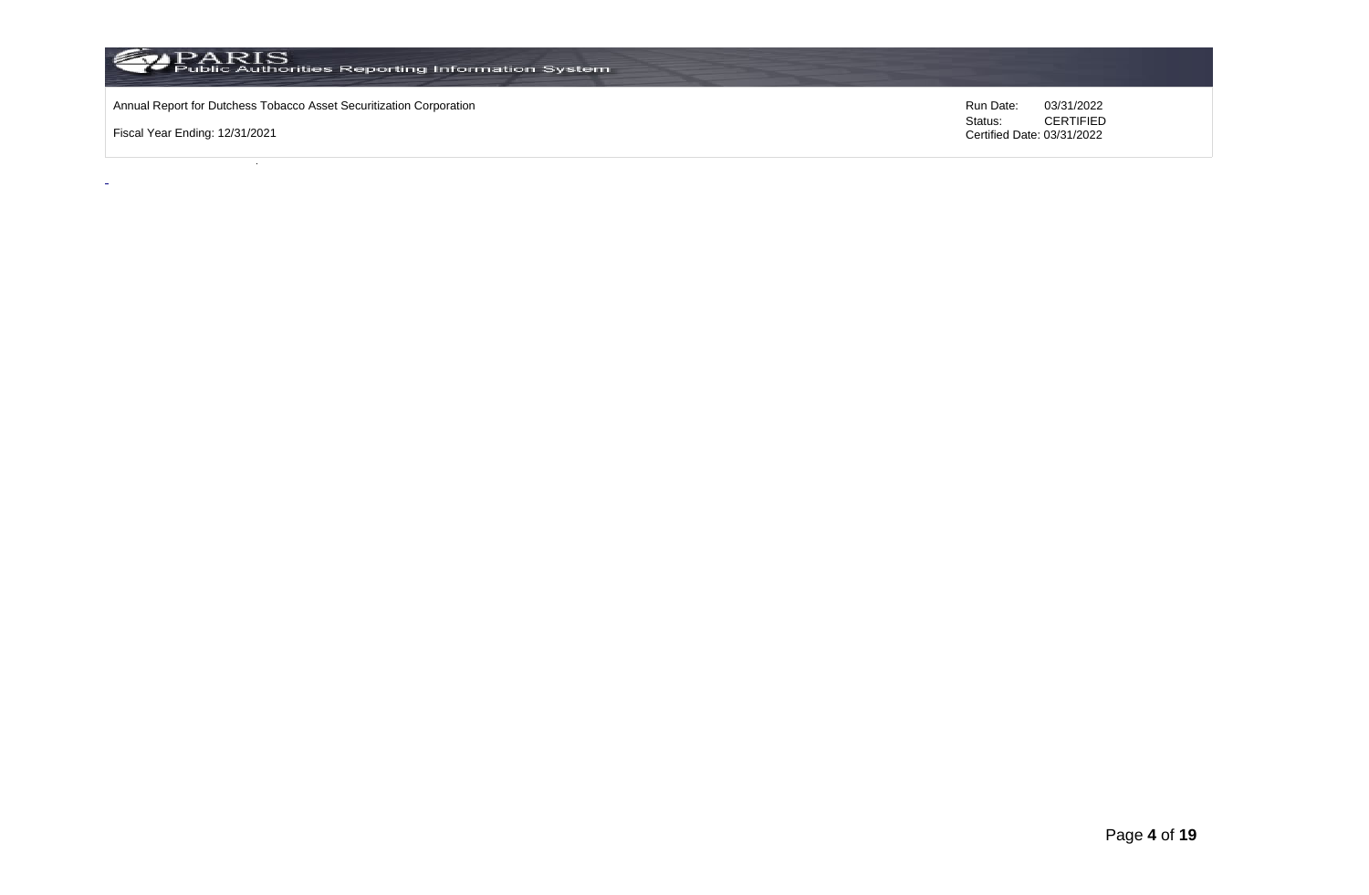

Annual Report for Dutchess Tobacco Asset Securitization Corporation **Components** Components Components Components Components Components Components Components Components Components Components Components Components Component

Fiscal Year Ending: 12/31/2021

 $\overline{a}$ 

Status: **CERTIFIED** Certified Date: 03/31/2022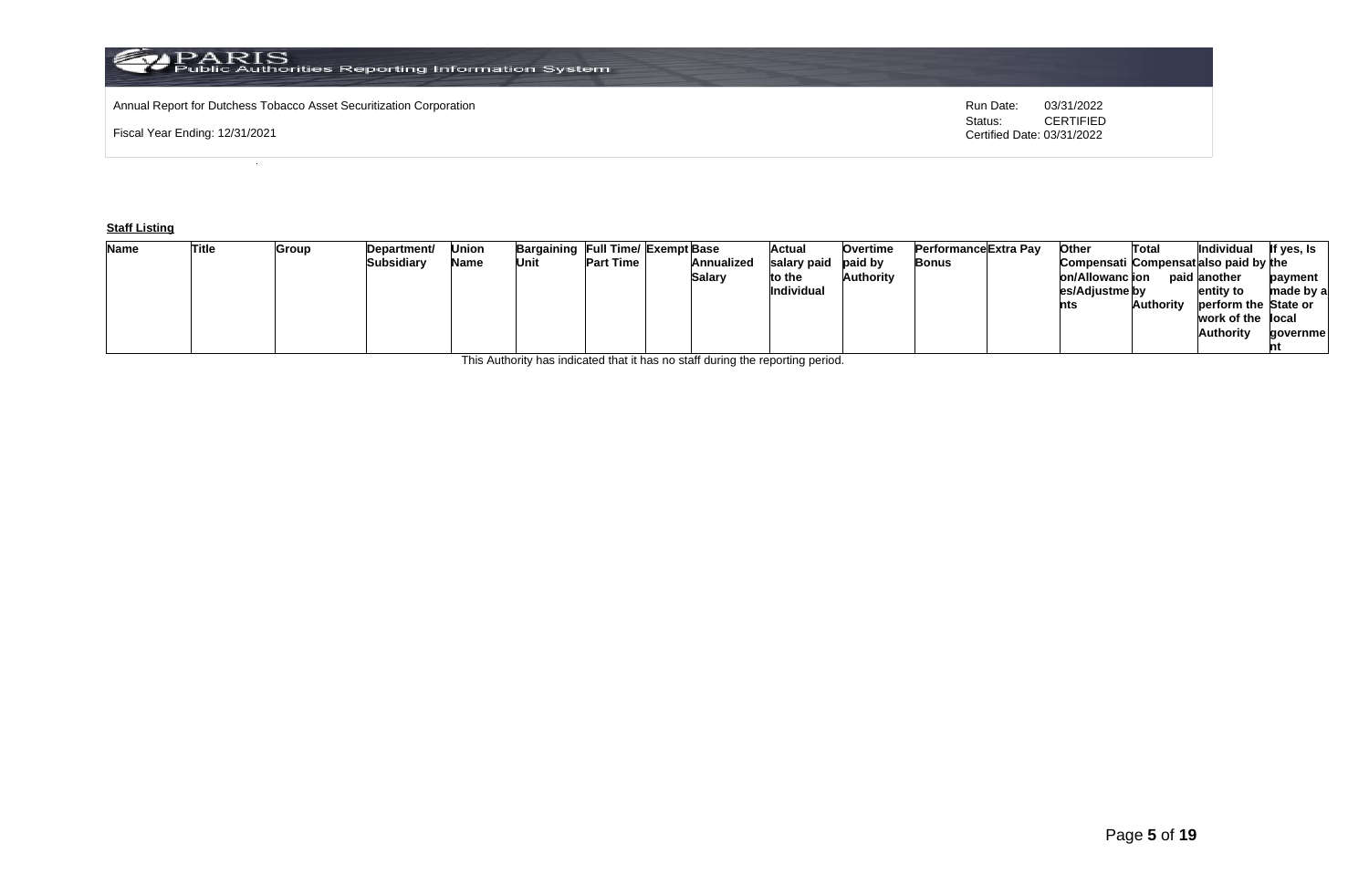| <b>COPARIS</b><br>Public Authorities Reporting Information System   |                                       |                  |
|---------------------------------------------------------------------|---------------------------------------|------------------|
| Annual Report for Dutchess Tobacco Asset Securitization Corporation | Run Date:                             | 03/31/2022       |
| Fiscal Year Ending: 12/31/2021                                      | Status:<br>Certified Date: 03/31/2022 | <b>CERTIFIED</b> |
|                                                                     |                                       |                  |

## **Staff Listing**

| <b>Name</b> | Title | Group | Department/ | Union | Bargaining Full Time/ Exempt Base |                  |               | Actual            | <b>Overtime</b>  | <b>Performance Extra Pav</b> | Other            | Total     | <b>Individual</b>                     | lf ves, Is |
|-------------|-------|-------|-------------|-------|-----------------------------------|------------------|---------------|-------------------|------------------|------------------------------|------------------|-----------|---------------------------------------|------------|
|             |       |       | Subsidiarv  | Name  | Unit                              | <b>Part Time</b> | Annualized    | salary paid       | paid by          | Bonus                        |                  |           | Compensati Compensatialso paid by the |            |
|             |       |       |             |       |                                   |                  | <b>Salary</b> | to the            | <b>Authority</b> |                              | on/Allowanc lion |           | paid another                          | payment    |
|             |       |       |             |       |                                   |                  |               | <b>Individual</b> |                  |                              | es/Adjustme by   |           | entity to                             | made by a  |
|             |       |       |             |       |                                   |                  |               |                   |                  |                              | nts              | Authority | perform the State or                  |            |
|             |       |       |             |       |                                   |                  |               |                   |                  |                              |                  |           | work of the local                     |            |
|             |       |       |             |       |                                   |                  |               |                   |                  |                              |                  |           | <b>Authority</b>                      | qovernmel  |
|             |       |       |             |       |                                   |                  |               |                   |                  |                              |                  |           |                                       |            |

This Authority has indicated that it has no staff during the reporting period.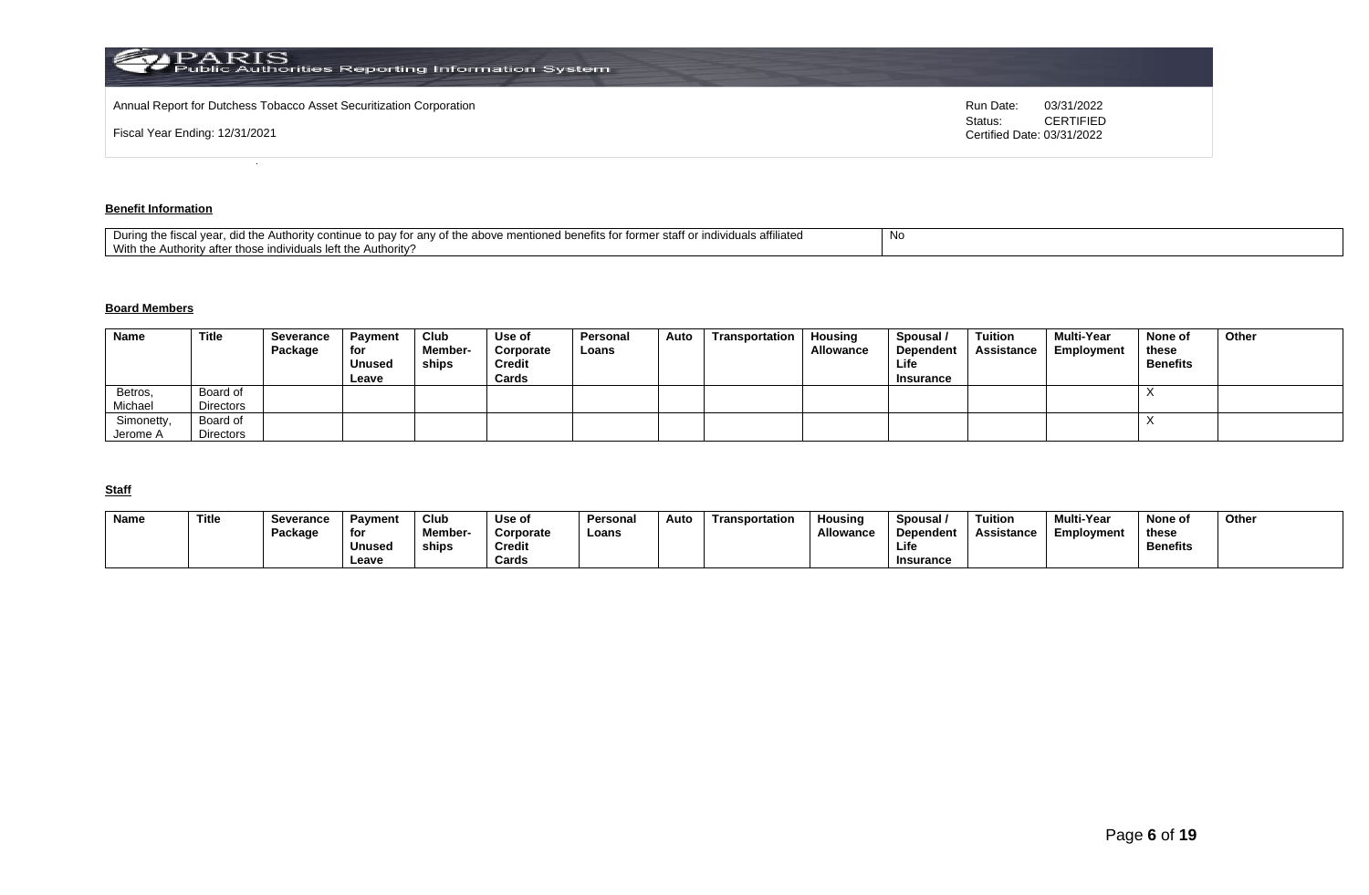| PARIS<br>Public Authorities Reporting Information System            |                                                           |
|---------------------------------------------------------------------|-----------------------------------------------------------|
| Annual Report for Dutchess Tobacco Asset Securitization Corporation | Run Date:<br>03/31/2022                                   |
| Fiscal Year Ending: 12/31/2021                                      | <b>CERTIFIED</b><br>Status:<br>Certified Date: 03/31/2022 |
|                                                                     |                                                           |

# **Benefit Information**

| -N Ic<br><sub>ີ</sub> e mentioned benefits for former staff or individuals affiliated<br>d the Authority continue to<br>e to pav for any of the above men<br>During the fiscal vear.<br>With the Authority after those individuals left the Authority? |  |
|--------------------------------------------------------------------------------------------------------------------------------------------------------------------------------------------------------------------------------------------------------|--|
|--------------------------------------------------------------------------------------------------------------------------------------------------------------------------------------------------------------------------------------------------------|--|

# **Board Members**

| Name       | <b>Title</b>     | Severance | <b>Payment</b> | Club    | Use of        | Personal | Auto | Transportation | <b>Housing</b> | Spousal / | Tuition    | <b>Multi-Year</b> | None of         | Other |
|------------|------------------|-----------|----------------|---------|---------------|----------|------|----------------|----------------|-----------|------------|-------------------|-----------------|-------|
|            |                  | Package   | for            | Member- | Corporate     | Loans    |      |                | Allowance      | Dependent | Assistance | Employment        | these           |       |
|            |                  |           | <b>Unused</b>  | ships   | <b>Credit</b> |          |      |                |                | Life      |            |                   | <b>Benefits</b> |       |
|            |                  |           | Leave          |         | Cards         |          |      |                |                | Insurance |            |                   |                 |       |
| Betros,    | Board of         |           |                |         |               |          |      |                |                |           |            |                   |                 |       |
| Michael    | <b>Directors</b> |           |                |         |               |          |      |                |                |           |            |                   |                 |       |
| Simonetty, | Board of         |           |                |         |               |          |      |                |                |           |            |                   |                 |       |
| Jerome A   | <b>Directors</b> |           |                |         |               |          |      |                |                |           |            |                   |                 |       |

# **Staff**

| Name | <b>Title</b> | Severance | Pavment       | Club   | Use of        | Persona | Auto | Transportation | Housing          | Spousal,         | Tuition    | <b>Multi-Year</b> | None of         | Other |
|------|--------------|-----------|---------------|--------|---------------|---------|------|----------------|------------------|------------------|------------|-------------------|-----------------|-------|
|      |              | Package   | for           | Member | Corporate     | Loans   |      |                | <b>Allowance</b> | Dependent        | Assistance | Employment        | these           |       |
|      |              |           | <b>Unused</b> | ships  | <b>Credit</b> |         |      |                |                  | Life             |            |                   | <b>Benefits</b> |       |
|      |              |           | Leave         |        | Cards         |         |      |                |                  | <b>Insurance</b> |            |                   |                 |       |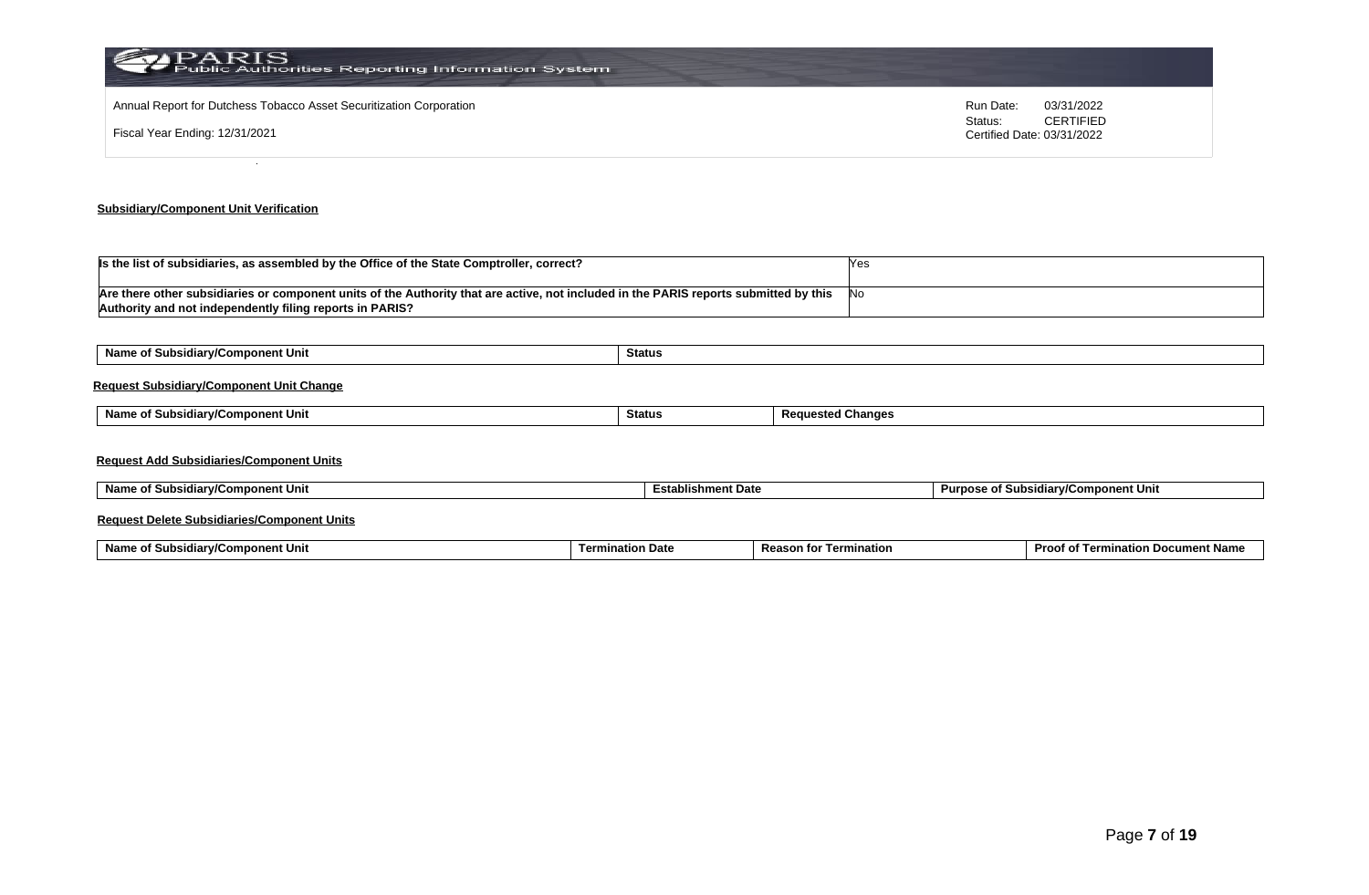| PARIS<br>Public Authorities Reporting Information System            |                                                    |
|---------------------------------------------------------------------|----------------------------------------------------|
| Annual Report for Dutchess Tobacco Asset Securitization Corporation | Run Date:<br>03/31/2022                            |
| Fiscal Year Ending: 12/31/2021                                      | CERTIFIED<br>Status:<br>Certified Date: 03/31/2022 |
|                                                                     |                                                    |

## **Subsidiary/Component Unit Verification**

| Is the list of subsidiaries, as assembled by the Office of the State Comptroller, correct?                                            |      |
|---------------------------------------------------------------------------------------------------------------------------------------|------|
|                                                                                                                                       |      |
| Are there other subsidiaries or component units of the Authority that are active, not included in the PARIS reports submitted by this | .INC |
| Authority and not independently filing reports in PARIS?                                                                              |      |

| Name of Subsidiary/Component Unit               | Status        |                          |                  |  |
|-------------------------------------------------|---------------|--------------------------|------------------|--|
| <b>Request Subsidiary/Component Unit Change</b> |               |                          |                  |  |
| Name of Subsidiary/Component Unit               | <b>Status</b> | <b>Requested Changes</b> |                  |  |
|                                                 |               |                          |                  |  |
| <b>Request Add Subsidiaries/Component Units</b> |               |                          |                  |  |
| .                                               | .             |                          | $\sim$<br>.<br>. |  |

| $\mathbf{A}$<br>. .<br>mponent Unit<br>diarv/(<br>Subs<br>Name. | Date<br>nent .<br><b>TAL</b><br>. | +nent Uni<br>Pu<br>-----<br>$\sim$<br>…si∩lar <sup>w</sup><br>…v/Comn∩r<br>$\cdots$<br>$\sim$ |
|-----------------------------------------------------------------|-----------------------------------|-----------------------------------------------------------------------------------------------|
|                                                                 |                                   |                                                                                               |

### **Request Delete Subsidiaries/Component Units**

| ، Name<br>าponent Unit<br><b>Pidiarv</b> ic.<br><b>Subs</b> | าation Date<br>Termi. | Reasor<br>tor<br>mination"<br>- Ler | Proo.<br>าent Name<br>. Docur<br>าation<br>OТ |
|-------------------------------------------------------------|-----------------------|-------------------------------------|-----------------------------------------------|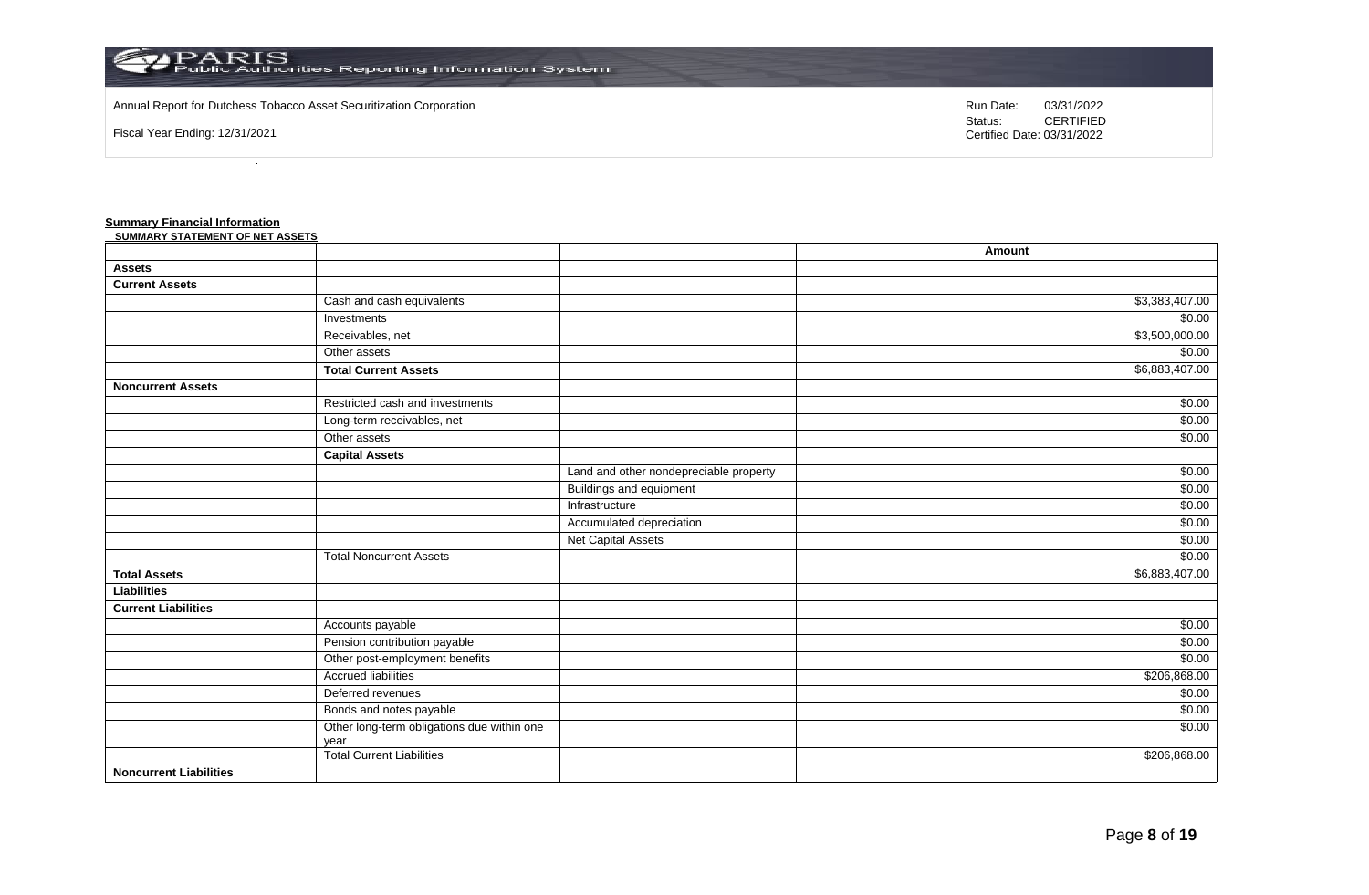

Annual Report for Dutchess Tobacco Asset Securitization Corporation **Component Component Component Component Component Component Component Component Component Component Component Component Component Component Component Com** 

Fiscal Year Ending: 12/31/2021

Status: **CERTIFIED** Certified Date: 03/31/2022

## **Summary Financial Information**

| <u>oanmary + manoiar imormation</u><br>SUMMARY STATEMENT OF NET ASSETS |                                                    |                                        |                |
|------------------------------------------------------------------------|----------------------------------------------------|----------------------------------------|----------------|
|                                                                        |                                                    |                                        | Amount         |
| <b>Assets</b>                                                          |                                                    |                                        |                |
| <b>Current Assets</b>                                                  |                                                    |                                        |                |
|                                                                        | Cash and cash equivalents                          |                                        | \$3,383,407.00 |
|                                                                        | Investments                                        |                                        | \$0.00         |
|                                                                        | Receivables, net                                   |                                        | \$3,500,000.00 |
|                                                                        | Other assets                                       |                                        | \$0.00         |
|                                                                        | <b>Total Current Assets</b>                        |                                        | \$6,883,407.00 |
| <b>Noncurrent Assets</b>                                               |                                                    |                                        |                |
|                                                                        | Restricted cash and investments                    |                                        | \$0.00         |
|                                                                        | Long-term receivables, net                         |                                        | \$0.00         |
|                                                                        | Other assets                                       |                                        | \$0.00         |
|                                                                        | <b>Capital Assets</b>                              |                                        |                |
|                                                                        |                                                    | Land and other nondepreciable property | \$0.00         |
|                                                                        |                                                    | <b>Buildings and equipment</b>         | \$0.00         |
|                                                                        |                                                    | Infrastructure                         | \$0.00         |
|                                                                        |                                                    | Accumulated depreciation               | \$0.00         |
|                                                                        |                                                    | Net Capital Assets                     | \$0.00         |
|                                                                        | <b>Total Noncurrent Assets</b>                     |                                        | \$0.00         |
| <b>Total Assets</b>                                                    |                                                    |                                        | \$6,883,407.00 |
| <b>Liabilities</b>                                                     |                                                    |                                        |                |
| <b>Current Liabilities</b>                                             |                                                    |                                        |                |
|                                                                        | Accounts payable                                   |                                        | \$0.00         |
|                                                                        | Pension contribution payable                       |                                        | \$0.00         |
|                                                                        | Other post-employment benefits                     |                                        | \$0.00         |
|                                                                        | <b>Accrued liabilities</b>                         |                                        | \$206,868.00   |
|                                                                        | Deferred revenues                                  |                                        | \$0.00         |
|                                                                        | Bonds and notes payable                            |                                        | \$0.00         |
|                                                                        | Other long-term obligations due within one<br>year |                                        | \$0.00         |
|                                                                        | -<br>Total Current Liabilities                     |                                        | \$206,868.00   |
| <b>Noncurrent Liabilities</b>                                          |                                                    |                                        |                |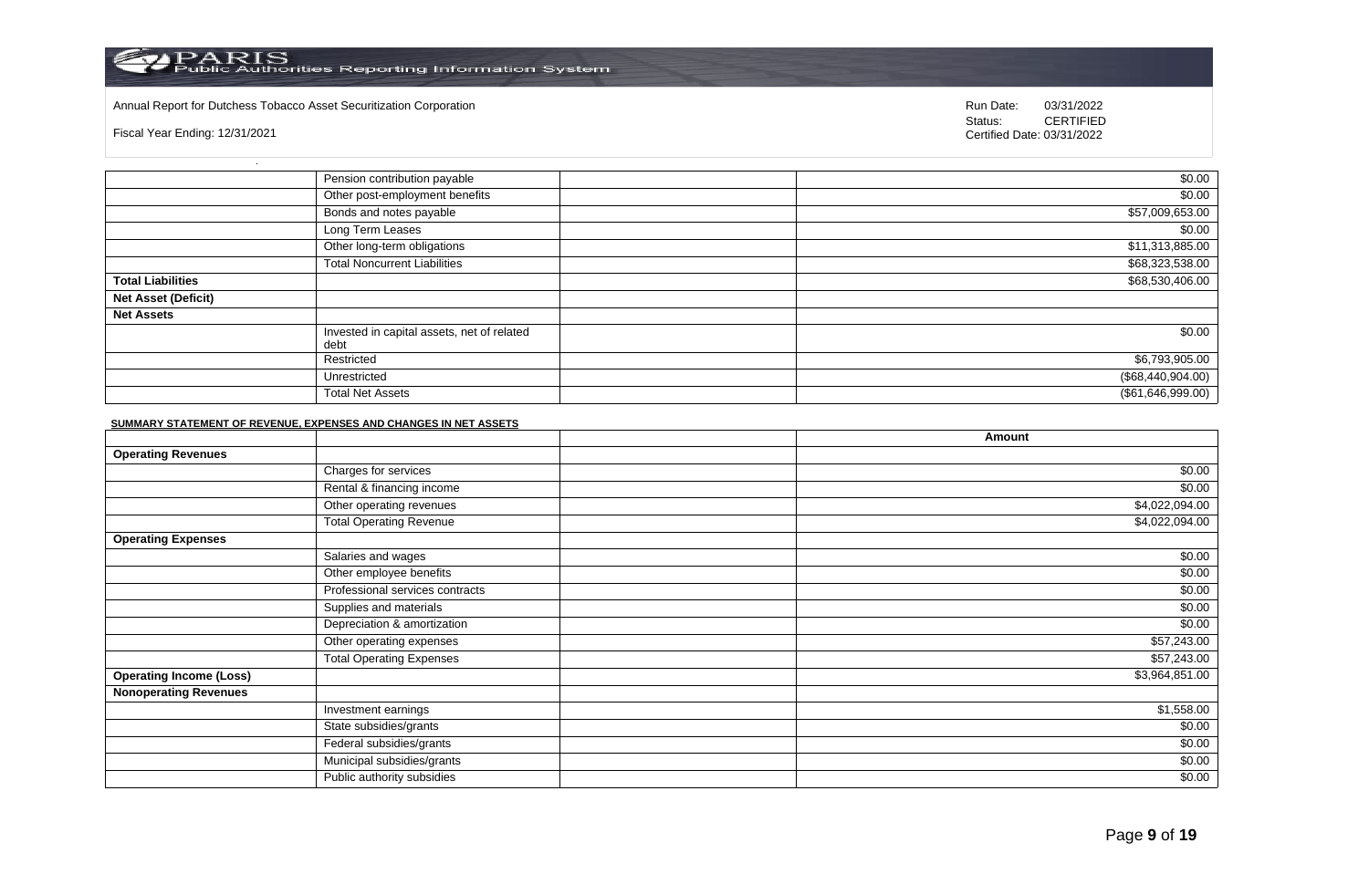### Annual Report for Dutchess Tobacco Asset Securitization Corporation **Component Component Component Component Component Component Component Component Component Component Component Component Component Component Component Com**

Fiscal Year Ending: 12/31/2021

Status: **CERTIFIED** Certified Date: 03/31/2022

|                            | Pension contribution payable                       | \$0.00            |
|----------------------------|----------------------------------------------------|-------------------|
|                            | Other post-employment benefits                     | \$0.00            |
|                            | Bonds and notes payable                            | \$57,009,653.00   |
|                            | Long Term Leases                                   | \$0.00            |
|                            | Other long-term obligations                        | \$11,313,885.00   |
|                            | <b>Total Noncurrent Liabilities</b>                | \$68,323,538.00   |
| <b>Total Liabilities</b>   |                                                    | \$68,530,406.00   |
| <b>Net Asset (Deficit)</b> |                                                    |                   |
| <b>Net Assets</b>          |                                                    |                   |
|                            | Invested in capital assets, net of related<br>debt | \$0.00            |
|                            | Restricted                                         | \$6,793,905.00    |
|                            | Unrestricted                                       | (\$68,440,904.00) |
|                            | <b>Total Net Assets</b>                            | (\$61,646,999.00) |

#### **SUMMARY STATEMENT OF REVENUE, EXPENSES AND CHANGES IN NET ASSETS**

|                                |                                 | Amount         |
|--------------------------------|---------------------------------|----------------|
| <b>Operating Revenues</b>      |                                 |                |
|                                | Charges for services            | \$0.00         |
|                                | Rental & financing income       | \$0.00         |
|                                | Other operating revenues        | \$4,022,094.00 |
|                                | <b>Total Operating Revenue</b>  | \$4,022,094.00 |
| <b>Operating Expenses</b>      |                                 |                |
|                                | Salaries and wages              | \$0.00         |
|                                | Other employee benefits         | \$0.00         |
|                                | Professional services contracts | \$0.00         |
|                                | Supplies and materials          | \$0.00         |
|                                | Depreciation & amortization     | \$0.00         |
|                                | Other operating expenses        | \$57,243.00    |
|                                | <b>Total Operating Expenses</b> | \$57,243.00    |
| <b>Operating Income (Loss)</b> |                                 | \$3,964,851.00 |
| <b>Nonoperating Revenues</b>   |                                 |                |
|                                | Investment earnings             | \$1,558.00     |
|                                | State subsidies/grants          | \$0.00         |
|                                | Federal subsidies/grants        | \$0.00         |
|                                | Municipal subsidies/grants      | \$0.00         |
|                                | Public authority subsidies      | \$0.00         |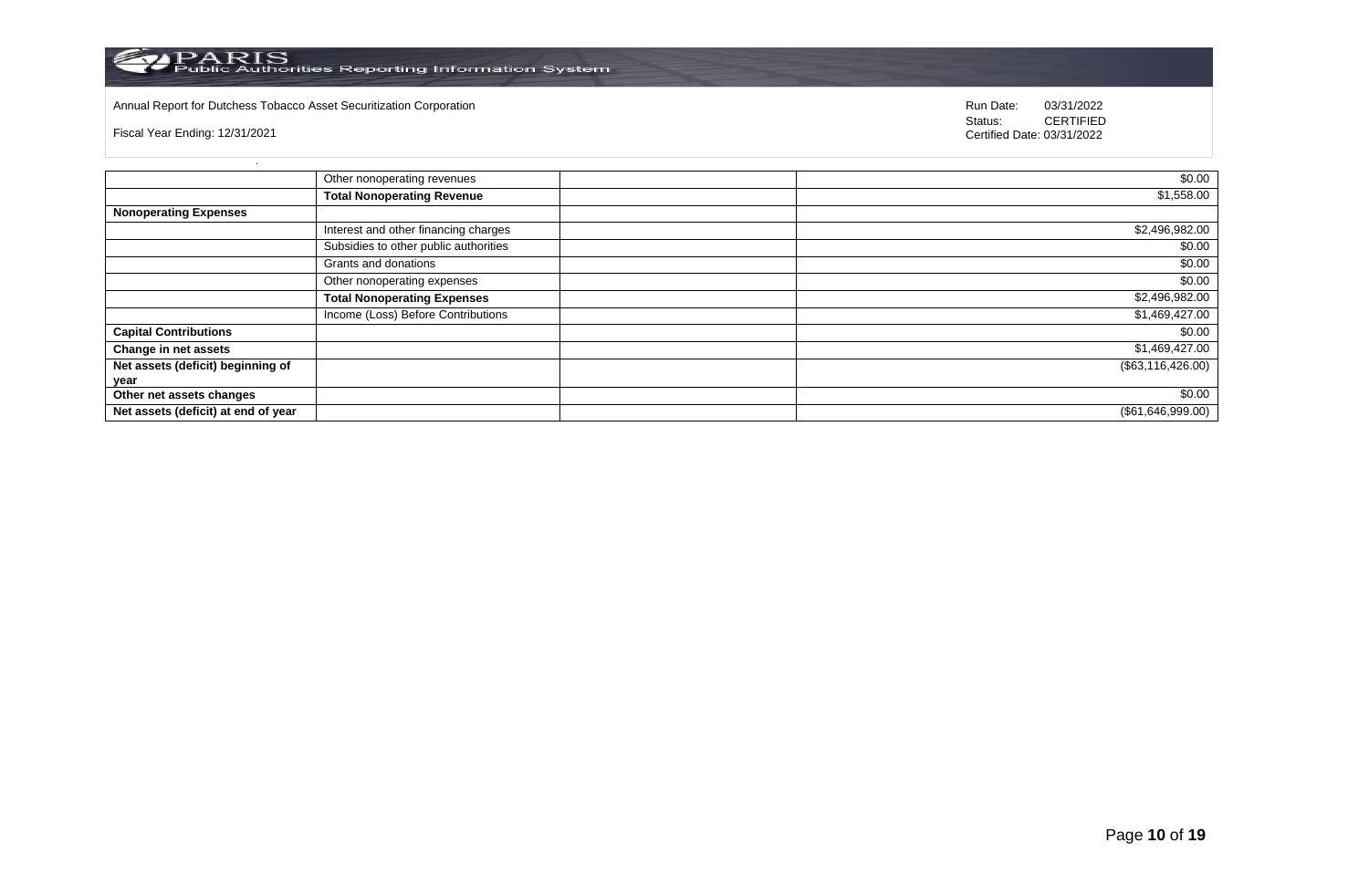

# Annual Report for Dutchess Tobacco Asset Securitization Corporation **Component Component Component Component Component Component Component Component Component Component Component Component Component Component Component Com**

Fiscal Year Ending: 12/31/2021

Status: **CERTIFIED** Certified Date: 03/31/2022

|                                     | Other nonoperating revenues           | \$0.00              |
|-------------------------------------|---------------------------------------|---------------------|
|                                     | <b>Total Nonoperating Revenue</b>     | \$1,558.00          |
| <b>Nonoperating Expenses</b>        |                                       |                     |
|                                     | Interest and other financing charges  | \$2,496,982.00      |
|                                     | Subsidies to other public authorities | \$0.00              |
|                                     | Grants and donations                  | \$0.00              |
|                                     | Other nonoperating expenses           | \$0.00              |
|                                     | <b>Total Nonoperating Expenses</b>    | \$2,496,982.00      |
|                                     | Income (Loss) Before Contributions    | \$1,469,427.00      |
| <b>Capital Contributions</b>        |                                       | \$0.00              |
| Change in net assets                |                                       | \$1,469,427.00      |
| Net assets (deficit) beginning of   |                                       | $(\$63,116,426.00)$ |
| year                                |                                       |                     |
| Other net assets changes            |                                       | \$0.00              |
| Net assets (deficit) at end of year |                                       | (\$61,646,999.00)   |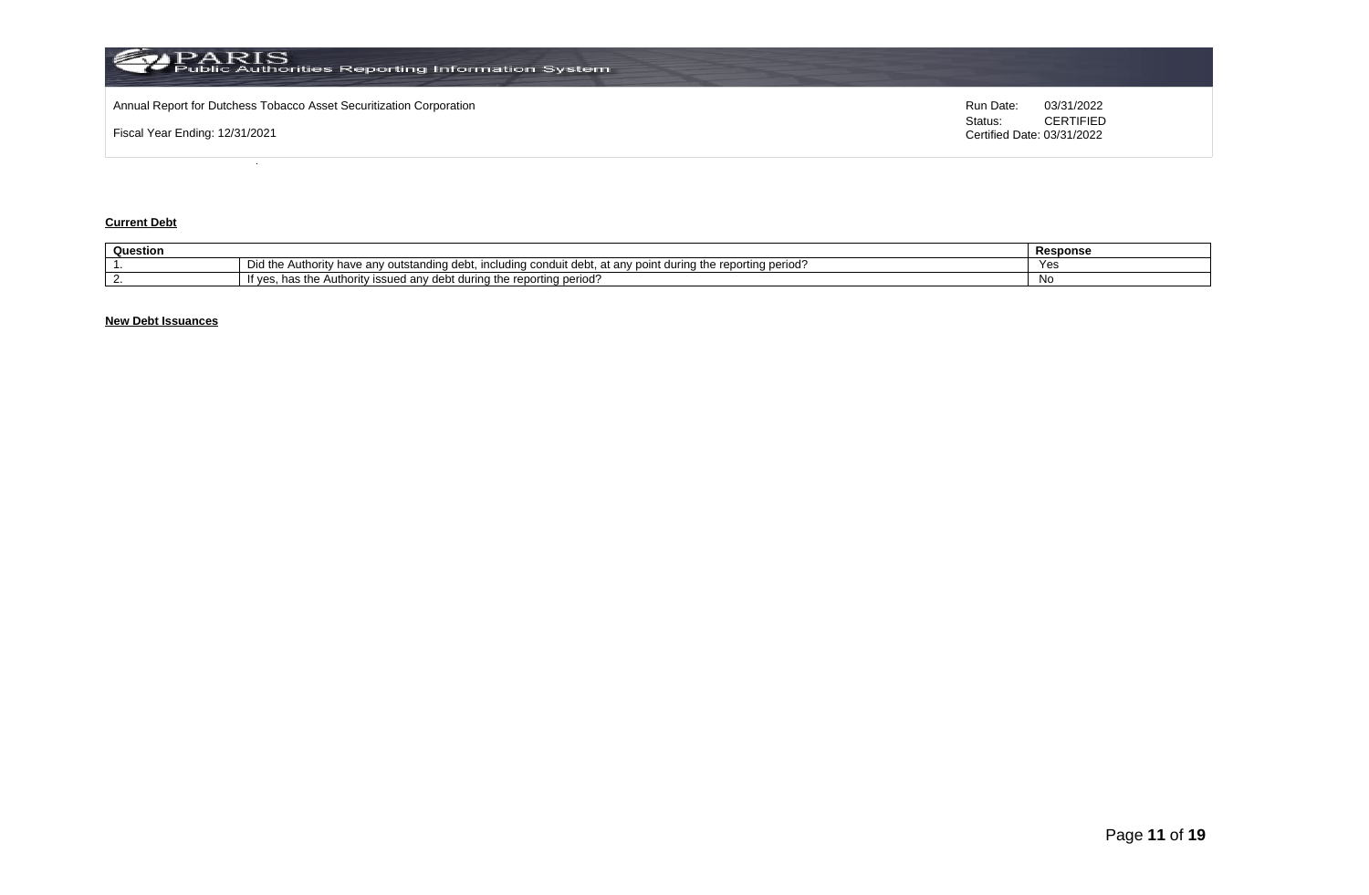

## **Current Debt**

| Question |                                                                                                                                                                                           | Response |
|----------|-------------------------------------------------------------------------------------------------------------------------------------------------------------------------------------------|----------|
|          | — Did thr<br>he reporting period's<br>Authority have any<br>/ outstandıng debt.<br>$+0h+$<br>…oint during th<br><b>Including</b><br>$ \sim \sim \sim \sim \sim \sim $<br>at anv<br>conqui | Yes      |
|          | rting period<br>during the report<br>has the<br>a Authority issued any debt<br>vu.                                                                                                        | N)       |

## **New Debt Issuances**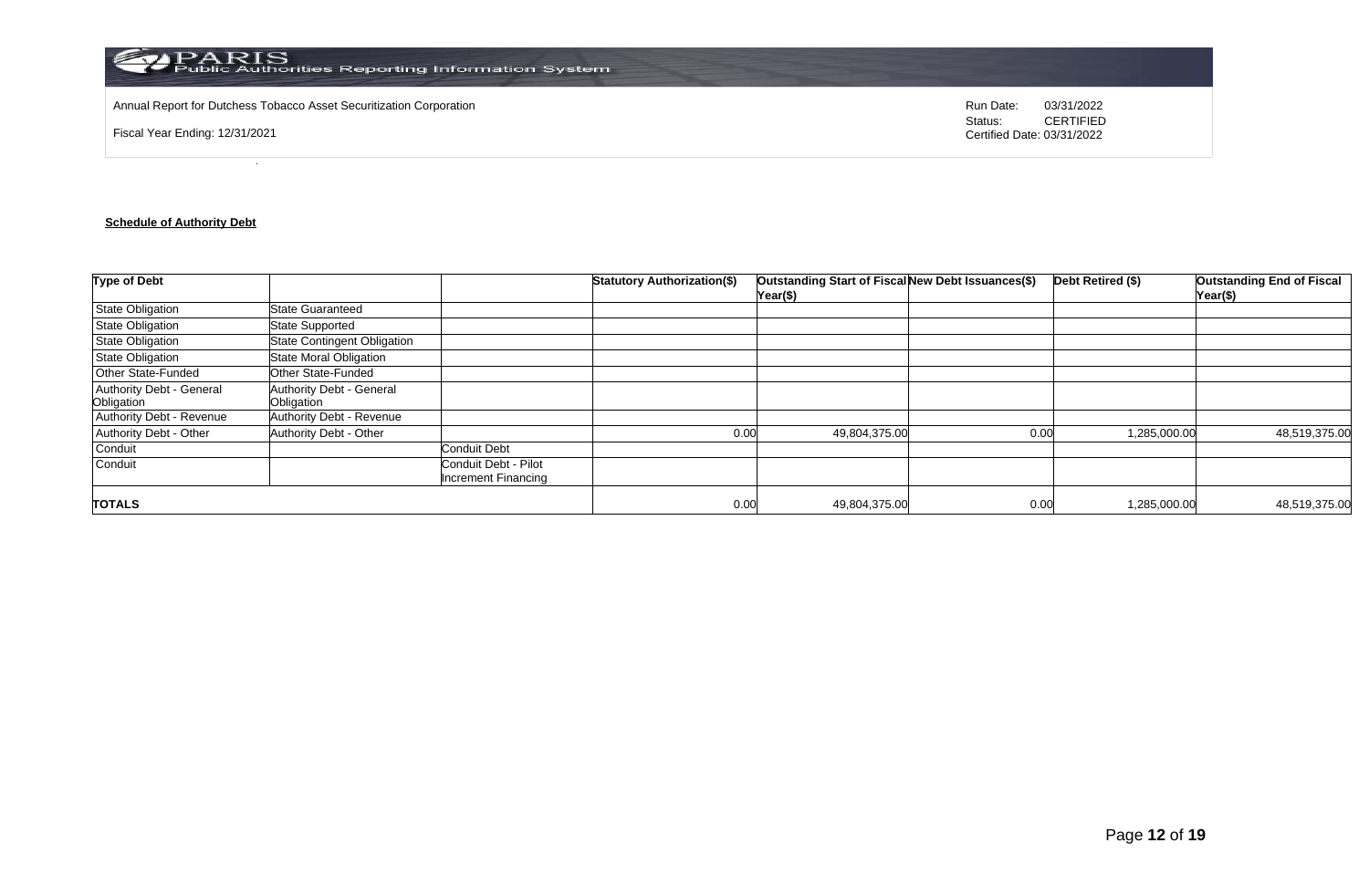

Annual Report for Dutchess Tobacco Asset Securitization Corporation **Components** Components Components Components Components Components Components Components Components Components Components Components Components Component

Fiscal Year Ending: 12/31/2021

Status: **CERTIFIED** Certified Date: 03/31/2022

## **Schedule of Authority Debt**

| <b>Type of Debt</b>                           |                                        |                                                    | <b>Statutory Authorization(\$)</b> | Outstanding Start of Fiscal New Debt Issuances(\$)<br>Year(\$) |      | Debt Retired (\$) | <b>Outstanding End of Fiscal</b><br>Year(\$) |
|-----------------------------------------------|----------------------------------------|----------------------------------------------------|------------------------------------|----------------------------------------------------------------|------|-------------------|----------------------------------------------|
| <b>State Obligation</b>                       | <b>State Guaranteed</b>                |                                                    |                                    |                                                                |      |                   |                                              |
| State Obligation                              | <b>State Supported</b>                 |                                                    |                                    |                                                                |      |                   |                                              |
| <b>State Obligation</b>                       | <b>State Contingent Obligation</b>     |                                                    |                                    |                                                                |      |                   |                                              |
| State Obligation                              | State Moral Obligation                 |                                                    |                                    |                                                                |      |                   |                                              |
| Other State-Funded                            | Other State-Funded                     |                                                    |                                    |                                                                |      |                   |                                              |
| <b>Authority Debt - General</b><br>Obligation | Authority Debt - General<br>Obligation |                                                    |                                    |                                                                |      |                   |                                              |
| Authority Debt - Revenue                      | Authority Debt - Revenue               |                                                    |                                    |                                                                |      |                   |                                              |
| Authority Debt - Other                        | Authority Debt - Other                 |                                                    | 0.00                               | 49,804,375.00                                                  | 0.00 | 1,285,000.00      | 48,519,375.00                                |
| Conduit                                       |                                        | <b>Conduit Debt</b>                                |                                    |                                                                |      |                   |                                              |
| Conduit                                       |                                        | Conduit Debt - Pilot<br><b>Increment Financing</b> |                                    |                                                                |      |                   |                                              |
| <b>TOTALS</b>                                 |                                        |                                                    | 0.00                               | 49,804,375.00                                                  | 0.00 | 1,285,000.00      | 48,519,375.00                                |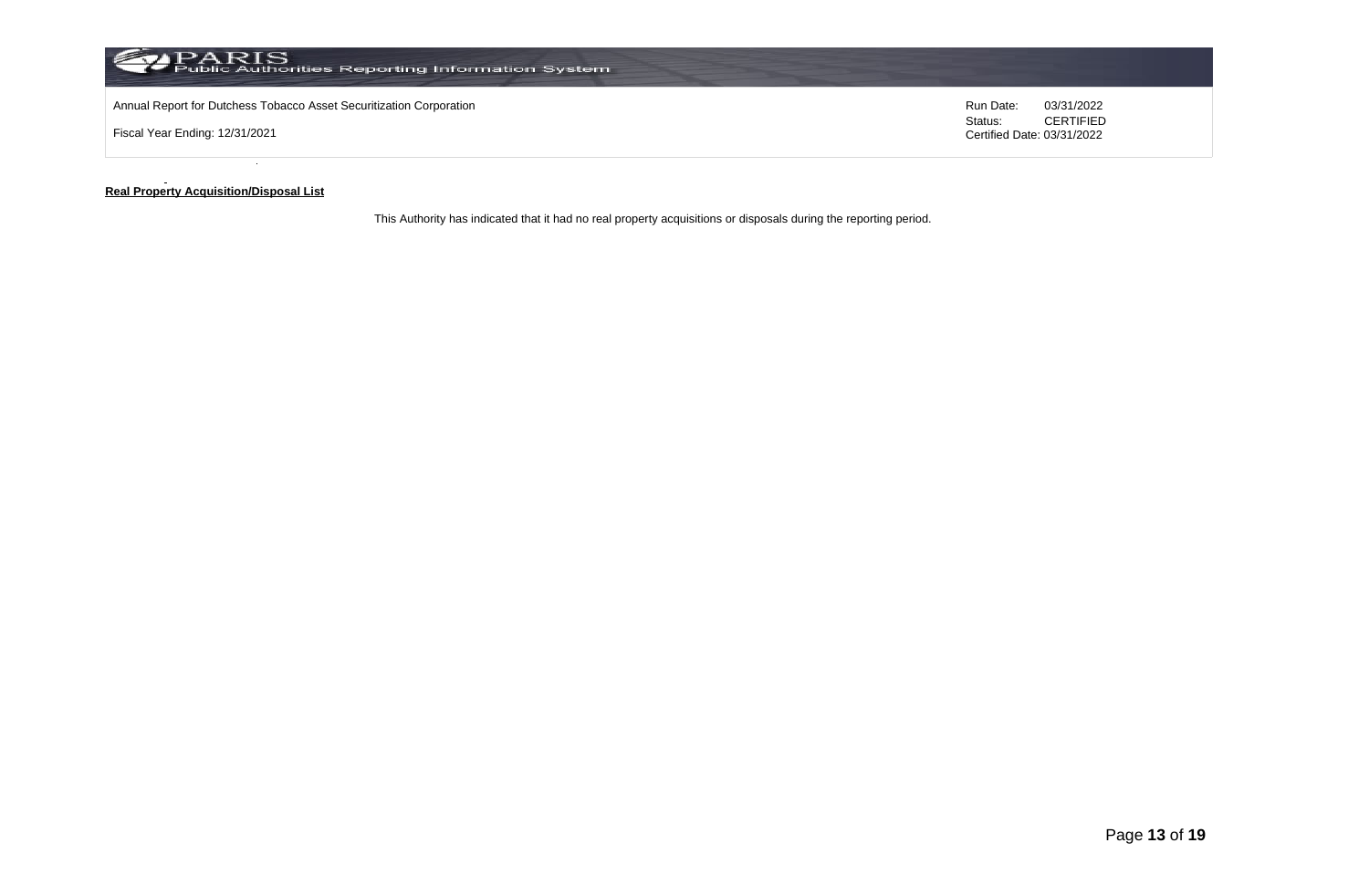

#### **Real Property Acquisition/Disposal List**

This Authority has indicated that it had no real property acquisitions or disposals during the reporting period.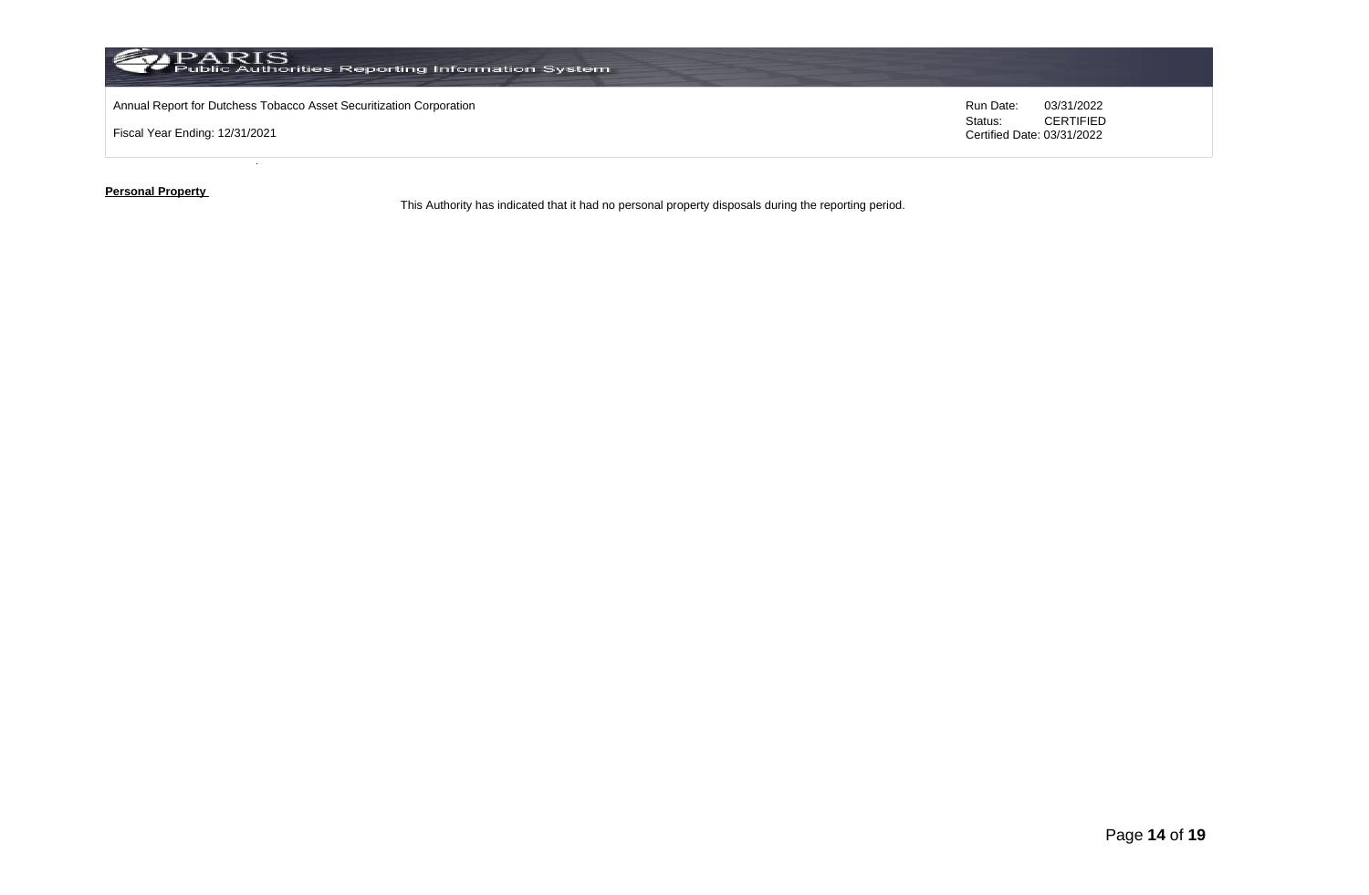

**Personal Property** 

This Authority has indicated that it had no personal property disposals during the reporting period.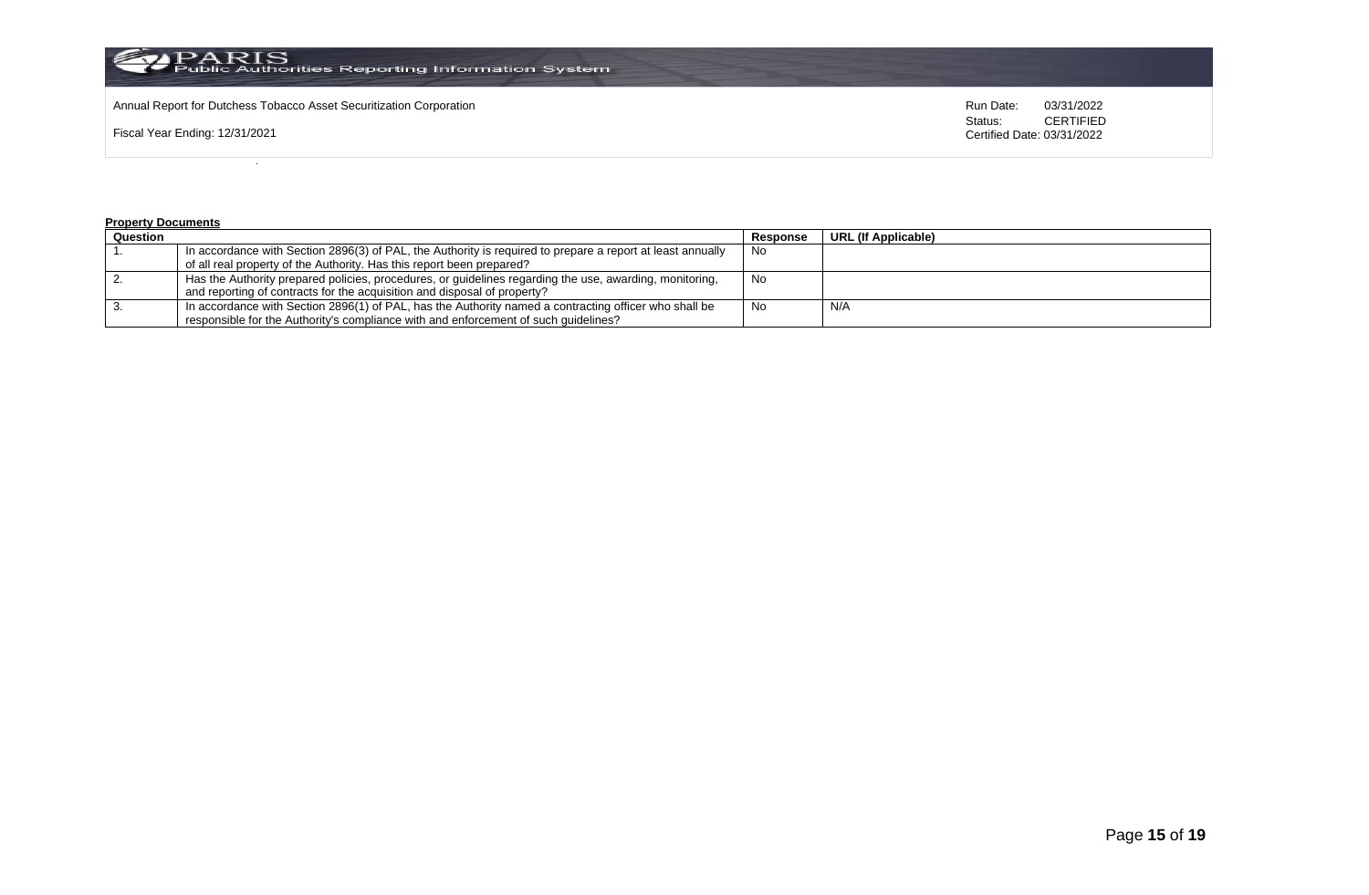

Annual Report for Dutchess Tobacco Asset Securitization Corporation **Components** Components Components Components Components Components Components Components Components Components Components Components Components Component

Fiscal Year Ending: 12/31/2021

Status: **CERTIFIED** Certified Date: 03/31/2022

### **Property Documents**

| Question |                                                                                                            | Response | <b>URL (If Applicable)</b> |
|----------|------------------------------------------------------------------------------------------------------------|----------|----------------------------|
|          | In accordance with Section 2896(3) of PAL, the Authority is required to prepare a report at least annually | No       |                            |
|          | of all real property of the Authority. Has this report been prepared?                                      |          |                            |
|          | Has the Authority prepared policies, procedures, or guidelines regarding the use, awarding, monitoring,    | No       |                            |
|          | and reporting of contracts for the acquisition and disposal of property?                                   |          |                            |
|          | In accordance with Section 2896(1) of PAL, has the Authority named a contracting officer who shall be      | No       | N/A                        |
|          | responsible for the Authority's compliance with and enforcement of such quidelines?                        |          |                            |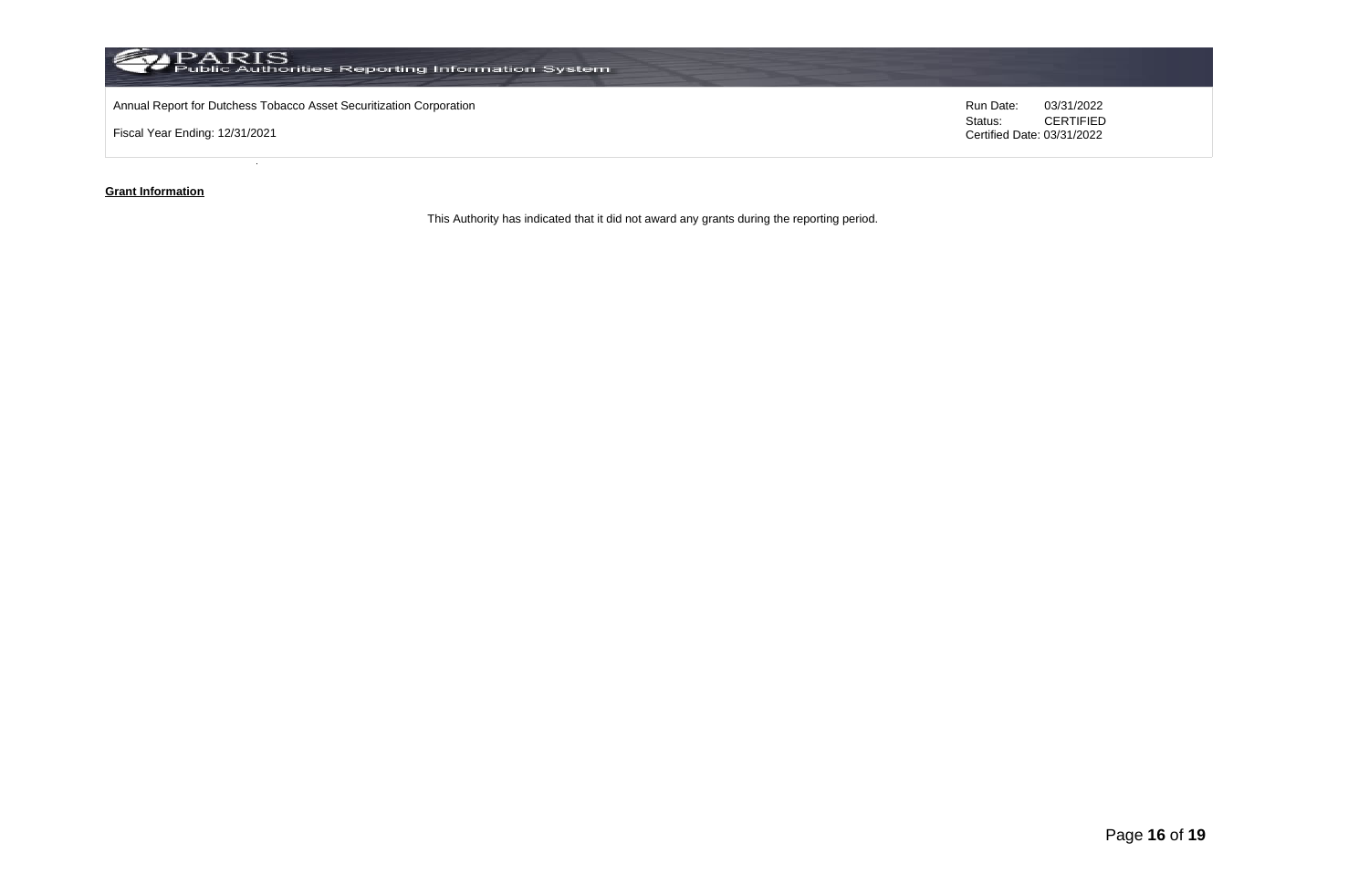

## **Grant Information**

This Authority has indicated that it did not award any grants during the reporting period.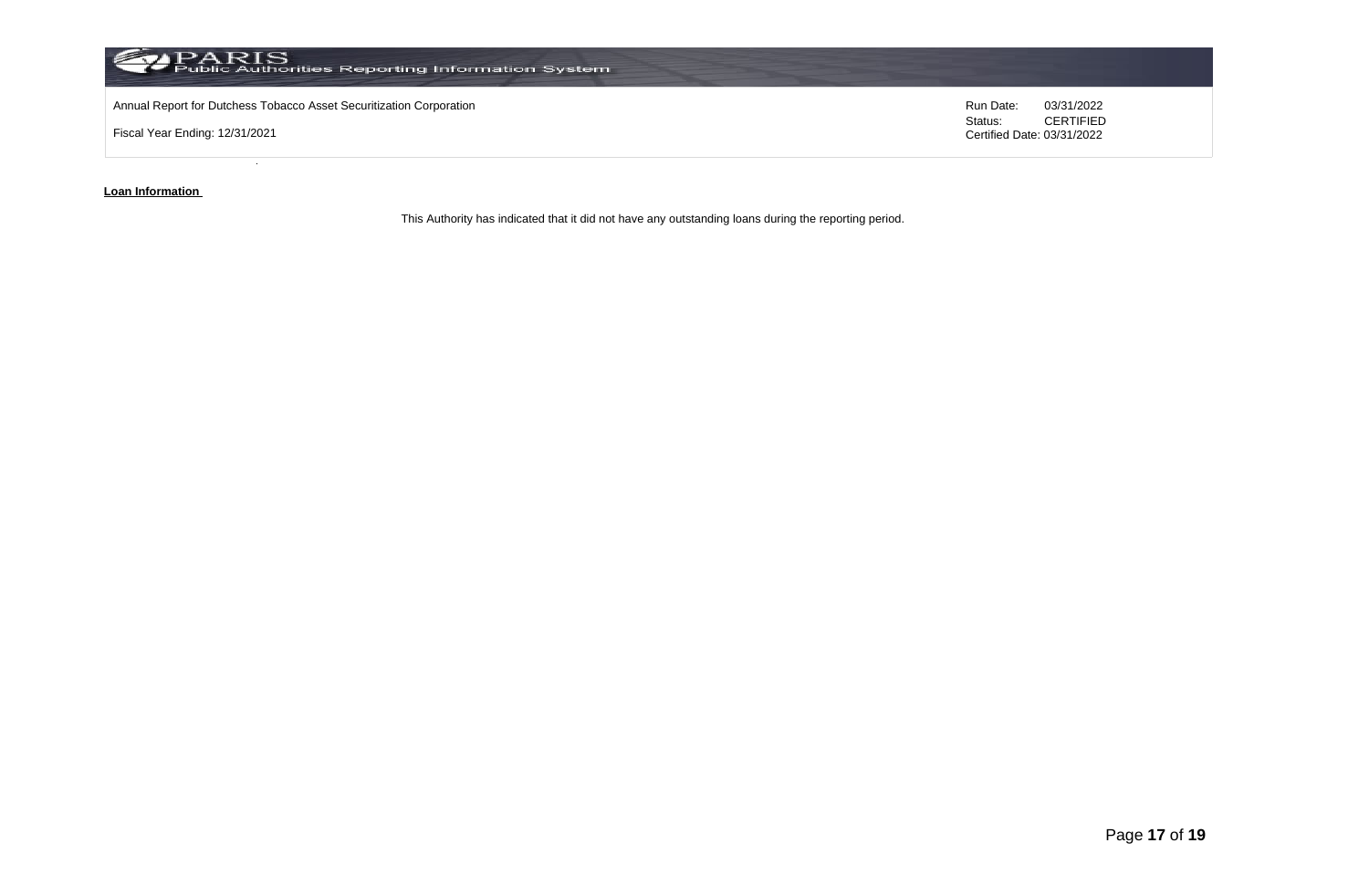

**Loan Information** 

This Authority has indicated that it did not have any outstanding loans during the reporting period.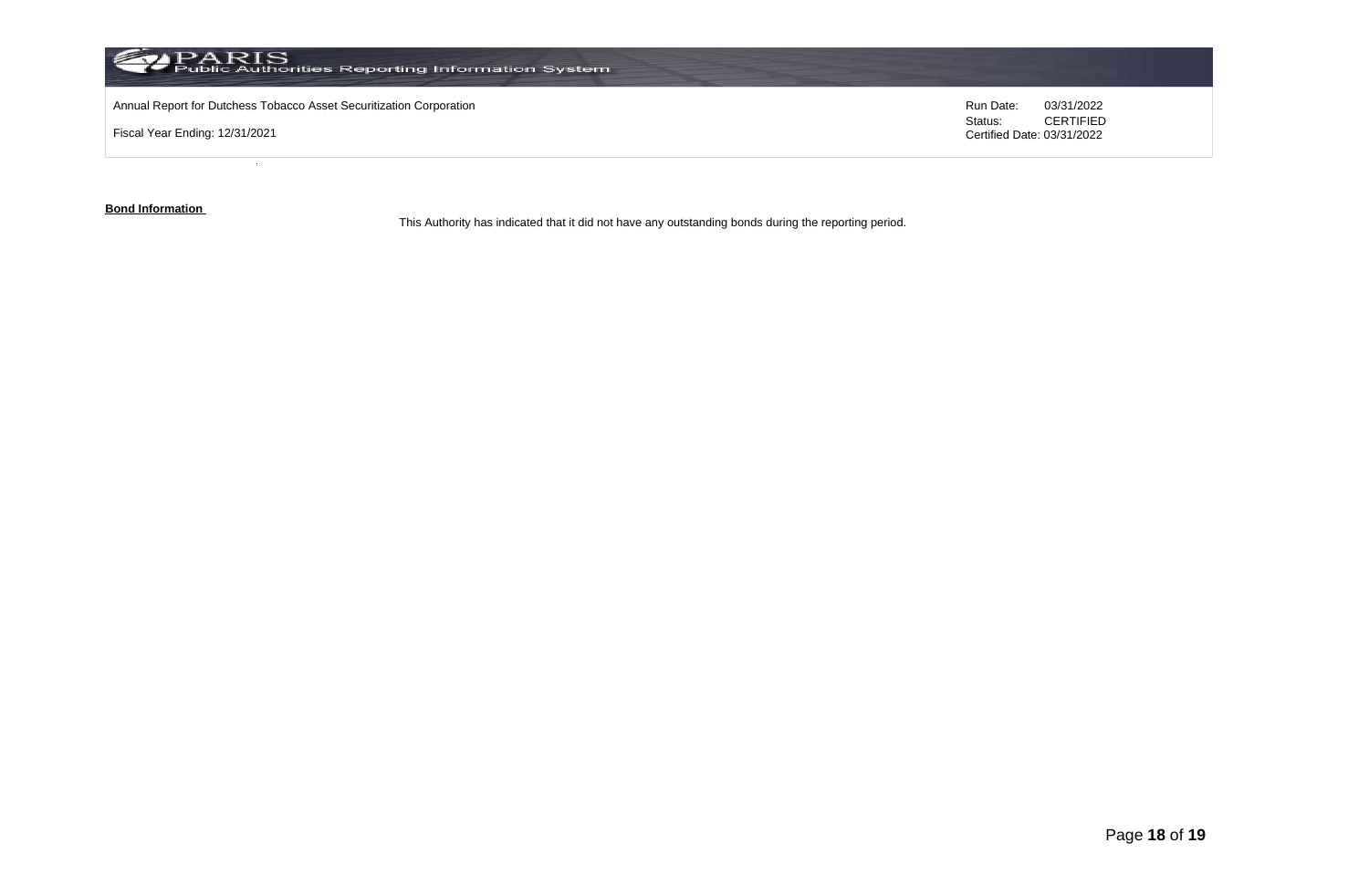

**Bond Information** 

This Authority has indicated that it did not have any outstanding bonds during the reporting period.